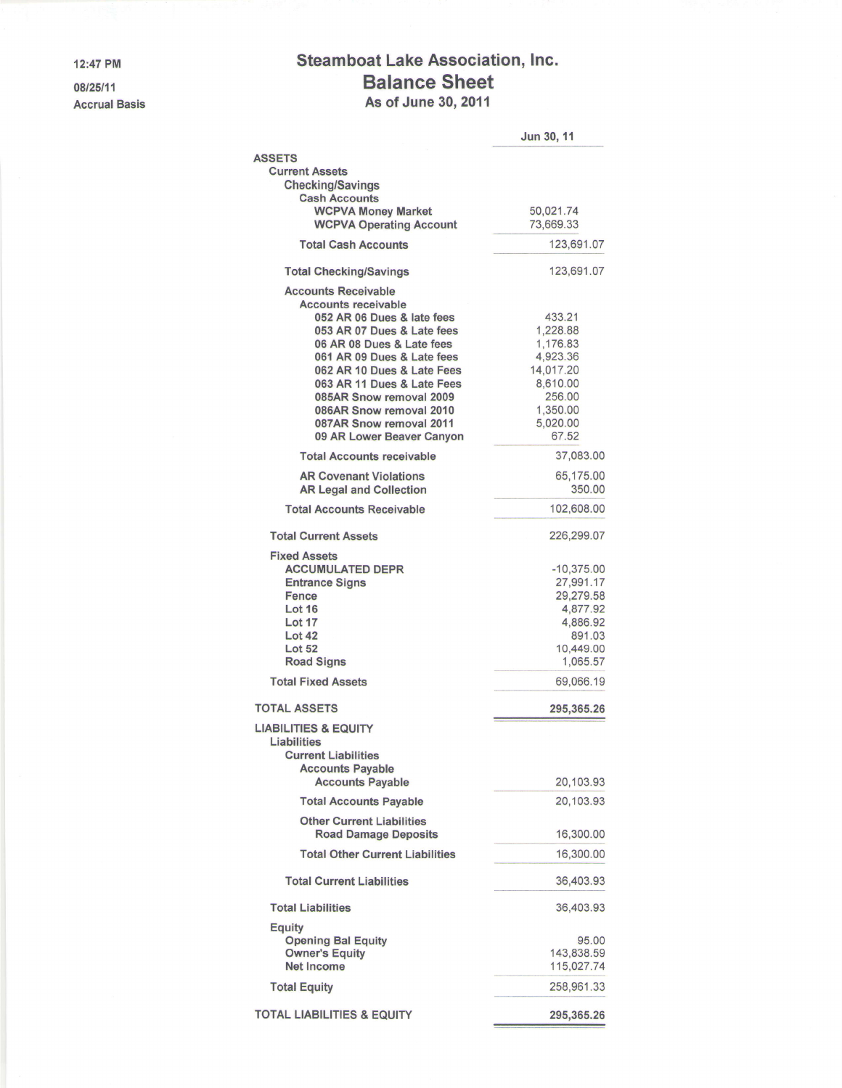12:47 PM

08/25/11 Accrual Basis

## Steamboat Lake Association, Inc. Balance Sheet As of June 30, 2011

|                                                                                                                                                                                                                                                                                                                                                           | <b>Jun 30, 11</b>                                                                                              |
|-----------------------------------------------------------------------------------------------------------------------------------------------------------------------------------------------------------------------------------------------------------------------------------------------------------------------------------------------------------|----------------------------------------------------------------------------------------------------------------|
| <b>ASSETS</b><br><b>Current Assets</b><br><b>Checking/Savings</b>                                                                                                                                                                                                                                                                                         |                                                                                                                |
| <b>Cash Accounts</b><br><b>WCPVA Money Market</b><br><b>WCPVA Operating Account</b>                                                                                                                                                                                                                                                                       | 50,021.74<br>73,669.33                                                                                         |
| <b>Total Cash Accounts</b>                                                                                                                                                                                                                                                                                                                                | 123,691.07                                                                                                     |
| <b>Total Checking/Savings</b>                                                                                                                                                                                                                                                                                                                             | 123,691.07                                                                                                     |
| <b>Accounts Receivable</b><br><b>Accounts receivable</b><br>052 AR 06 Dues & late fees<br>053 AR 07 Dues & Late fees<br>06 AR 08 Dues & Late fees<br>061 AR 09 Dues & Late fees<br>062 AR 10 Dues & Late Fees<br>063 AR 11 Dues & Late Fees<br>085AR Snow removal 2009<br>086AR Snow removal 2010<br>087AR Snow removal 2011<br>09 AR Lower Beaver Canyon | 433.21<br>1,228.88<br>1,176.83<br>4,923.36<br>14,017.20<br>8,610.00<br>256.00<br>1,350.00<br>5.020.00<br>67.52 |
| <b>Total Accounts receivable</b>                                                                                                                                                                                                                                                                                                                          | 37,083.00                                                                                                      |
| <b>AR Covenant Violations</b><br><b>AR Legal and Collection</b>                                                                                                                                                                                                                                                                                           | 65,175.00<br>350.00                                                                                            |
| <b>Total Accounts Receivable</b>                                                                                                                                                                                                                                                                                                                          | 102,608.00                                                                                                     |
| <b>Total Current Assets</b>                                                                                                                                                                                                                                                                                                                               | 226,299.07                                                                                                     |
| <b>Fixed Assets</b><br><b>ACCUMULATED DEPR</b><br><b>Entrance Signs</b><br><b>Fence</b><br><b>Lot 16</b><br><b>Lot 17</b><br>Lot 42<br><b>Lot 52</b><br><b>Road Signs</b>                                                                                                                                                                                 | $-10,375.00$<br>27,991.17<br>29,279.58<br>4,877.92<br>4,886.92<br>891.03<br>10,449.00<br>1,065.57              |
| <b>Total Fixed Assets</b>                                                                                                                                                                                                                                                                                                                                 | 69,066.19                                                                                                      |
| <b>TOTAL ASSETS</b>                                                                                                                                                                                                                                                                                                                                       | 295,365.26                                                                                                     |
| <b>LIABILITIES &amp; EQUITY</b><br>Liabilities<br><b>Current Liabilities</b><br><b>Accounts Payable</b>                                                                                                                                                                                                                                                   |                                                                                                                |
| <b>Accounts Payable</b>                                                                                                                                                                                                                                                                                                                                   | 20,103.93                                                                                                      |
| <b>Total Accounts Payable</b>                                                                                                                                                                                                                                                                                                                             | 20,103.93                                                                                                      |
| <b>Other Current Liabilities</b><br><b>Road Damage Deposits</b>                                                                                                                                                                                                                                                                                           | 16,300.00                                                                                                      |
| <b>Total Other Current Liabilities</b>                                                                                                                                                                                                                                                                                                                    | 16,300.00                                                                                                      |
| <b>Total Current Liabilities</b>                                                                                                                                                                                                                                                                                                                          | 36,403.93                                                                                                      |
| <b>Total Liabilities</b>                                                                                                                                                                                                                                                                                                                                  | 36,403.93                                                                                                      |
| <b>Equity</b><br><b>Opening Bal Equity</b><br><b>Owner's Equity</b><br><b>Net Income</b>                                                                                                                                                                                                                                                                  | 95.00<br>143,838.59<br>115,027.74                                                                              |
| <b>Total Equity</b>                                                                                                                                                                                                                                                                                                                                       | 258,961.33                                                                                                     |
| <b>TOTAL LIABILITIES &amp; EQUITY</b>                                                                                                                                                                                                                                                                                                                     | 295,365.26                                                                                                     |